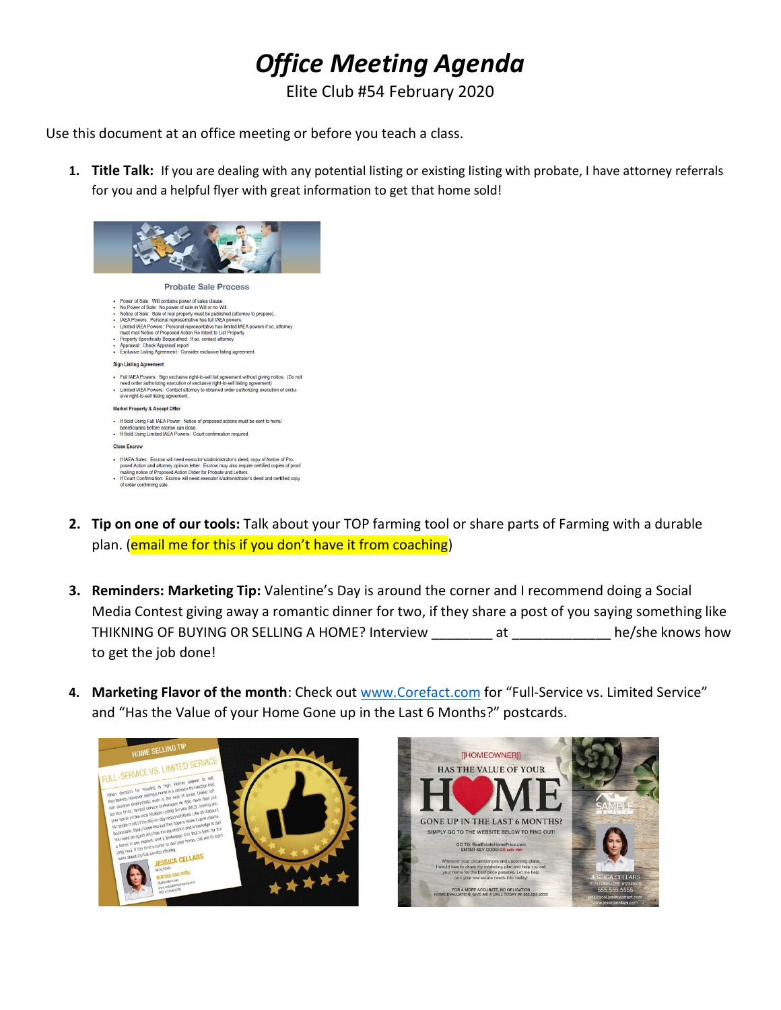## Office Meeting Agenda

Elite Club #54 February 2020

Use this document at an office meeting or before you teach a class.

1. Title Talk: If you are dealing with any potential listing or existing listing with probate, I have attorney referrals for you and a helpful flyer with great information to get that home sold!



- 2. Tip on one of our tools: Talk about your TOP farming tool or share parts of Farming with a durable plan. (email me for this if you don't have it from coaching)
- **3. Reminders: Marketing Tip:** Valentine's Day is around the corner and I recommend doing a Social Media Contest giving away a romantic dinner for two, if they share a post of you saying something like THIKNING OF BUYING OR SELLING A HOME? Interview at he/she knows how to get the job done!
- 4. Marketing Flavor of the month: Check out www.Corefact.com for "Full-Service vs. Limited Service" and "Has the Value of your Home Gone up in the Last 6 Months?" postcards.